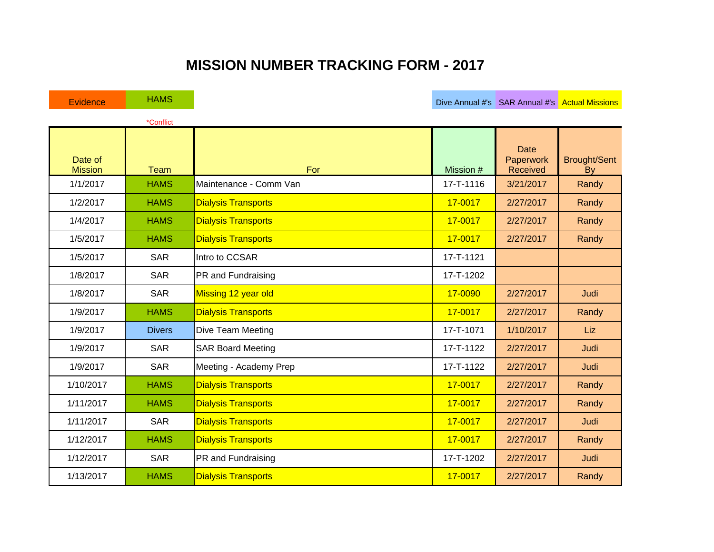## **MISSION NUMBER TRACKING FORM - 2017**

| Evidence                  | <b>HAMS</b>   |                            |             | Dive Annual #'s SAR Annual #'s Actual Missions |                           |
|---------------------------|---------------|----------------------------|-------------|------------------------------------------------|---------------------------|
|                           | *Conflict     |                            |             |                                                |                           |
| Date of<br><b>Mission</b> | <b>Team</b>   | For                        | Mission #   | <b>Date</b><br>Paperwork<br>Received           | <b>Brought/Sent</b><br>By |
| 1/1/2017                  | <b>HAMS</b>   | Maintenance - Comm Van     | 17-T-1116   | 3/21/2017                                      | Randy                     |
| 1/2/2017                  | <b>HAMS</b>   | <b>Dialysis Transports</b> | $17 - 0017$ | 2/27/2017                                      | Randy                     |
| 1/4/2017                  | <b>HAMS</b>   | <b>Dialysis Transports</b> | 17-0017     | 2/27/2017                                      | Randy                     |
| 1/5/2017                  | <b>HAMS</b>   | <b>Dialysis Transports</b> | 17-0017     | 2/27/2017                                      | Randy                     |
| 1/5/2017                  | <b>SAR</b>    | Intro to CCSAR             | 17-T-1121   |                                                |                           |
| 1/8/2017                  | <b>SAR</b>    | PR and Fundraising         | 17-T-1202   |                                                |                           |
| 1/8/2017                  | <b>SAR</b>    | Missing 12 year old        | 17-0090     | 2/27/2017                                      | Judi                      |
| 1/9/2017                  | <b>HAMS</b>   | <b>Dialysis Transports</b> | 17-0017     | 2/27/2017                                      | Randy                     |
| 1/9/2017                  | <b>Divers</b> | Dive Team Meeting          | 17-T-1071   | 1/10/2017                                      | Liz                       |
| 1/9/2017                  | <b>SAR</b>    | <b>SAR Board Meeting</b>   | 17-T-1122   | 2/27/2017                                      | Judi                      |
| 1/9/2017                  | <b>SAR</b>    | Meeting - Academy Prep     | 17-T-1122   | 2/27/2017                                      | Judi                      |
| 1/10/2017                 | <b>HAMS</b>   | <b>Dialysis Transports</b> | 17-0017     | 2/27/2017                                      | Randy                     |
| 1/11/2017                 | <b>HAMS</b>   | <b>Dialysis Transports</b> | 17-0017     | 2/27/2017                                      | Randy                     |
| 1/11/2017                 | <b>SAR</b>    | <b>Dialysis Transports</b> | 17-0017     | 2/27/2017                                      | Judi                      |
| 1/12/2017                 | <b>HAMS</b>   | <b>Dialysis Transports</b> | 17-0017     | 2/27/2017                                      | Randy                     |
| 1/12/2017                 | <b>SAR</b>    | PR and Fundraising         | 17-T-1202   | 2/27/2017                                      | Judi                      |
| 1/13/2017                 | <b>HAMS</b>   | <b>Dialysis Transports</b> | 17-0017     | 2/27/2017                                      | Randy                     |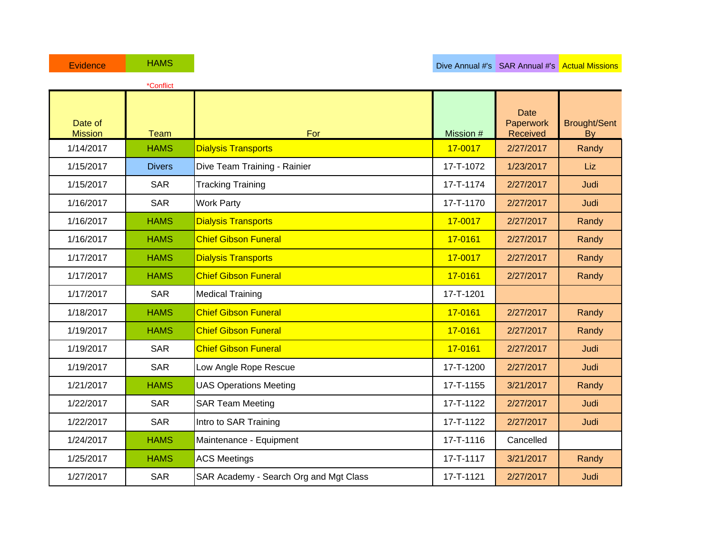|                           | *Conflict     |                                        |           |                               |                                  |
|---------------------------|---------------|----------------------------------------|-----------|-------------------------------|----------------------------------|
| Date of<br><b>Mission</b> | Team          | For                                    | Mission # | Date<br>Paperwork<br>Received | <b>Brought/Sent</b><br><b>By</b> |
| 1/14/2017                 | <b>HAMS</b>   | <b>Dialysis Transports</b>             | 17-0017   | 2/27/2017                     | Randy                            |
| 1/15/2017                 | <b>Divers</b> | Dive Team Training - Rainier           | 17-T-1072 | 1/23/2017                     | Liz                              |
| 1/15/2017                 | <b>SAR</b>    | <b>Tracking Training</b>               | 17-T-1174 | 2/27/2017                     | Judi                             |
| 1/16/2017                 | <b>SAR</b>    | <b>Work Party</b>                      | 17-T-1170 | 2/27/2017                     | Judi                             |
| 1/16/2017                 | <b>HAMS</b>   | <b>Dialysis Transports</b>             | 17-0017   | 2/27/2017                     | Randy                            |
| 1/16/2017                 | <b>HAMS</b>   | <b>Chief Gibson Funeral</b>            | 17-0161   | 2/27/2017                     | Randy                            |
| 1/17/2017                 | <b>HAMS</b>   | <b>Dialysis Transports</b>             | 17-0017   | 2/27/2017                     | Randy                            |
| 1/17/2017                 | <b>HAMS</b>   | <b>Chief Gibson Funeral</b>            | 17-0161   | 2/27/2017                     | Randy                            |
| 1/17/2017                 | <b>SAR</b>    | <b>Medical Training</b>                | 17-T-1201 |                               |                                  |
| 1/18/2017                 | <b>HAMS</b>   | <b>Chief Gibson Funeral</b>            | 17-0161   | 2/27/2017                     | Randy                            |
| 1/19/2017                 | <b>HAMS</b>   | <b>Chief Gibson Funeral</b>            | 17-0161   | 2/27/2017                     | Randy                            |
| 1/19/2017                 | <b>SAR</b>    | <b>Chief Gibson Funeral</b>            | 17-0161   | 2/27/2017                     | Judi                             |
| 1/19/2017                 | <b>SAR</b>    | Low Angle Rope Rescue                  | 17-T-1200 | 2/27/2017                     | Judi                             |
| 1/21/2017                 | <b>HAMS</b>   | <b>UAS Operations Meeting</b>          | 17-T-1155 | 3/21/2017                     | Randy                            |
| 1/22/2017                 | <b>SAR</b>    | <b>SAR Team Meeting</b>                | 17-T-1122 | 2/27/2017                     | Judi                             |
| 1/22/2017                 | <b>SAR</b>    | Intro to SAR Training                  | 17-T-1122 | 2/27/2017                     | Judi                             |
| 1/24/2017                 | <b>HAMS</b>   | Maintenance - Equipment                | 17-T-1116 | Cancelled                     |                                  |
| 1/25/2017                 | <b>HAMS</b>   | <b>ACS Meetings</b>                    | 17-T-1117 | 3/21/2017                     | Randy                            |
| 1/27/2017                 | <b>SAR</b>    | SAR Academy - Search Org and Mgt Class | 17-T-1121 | 2/27/2017                     | Judi                             |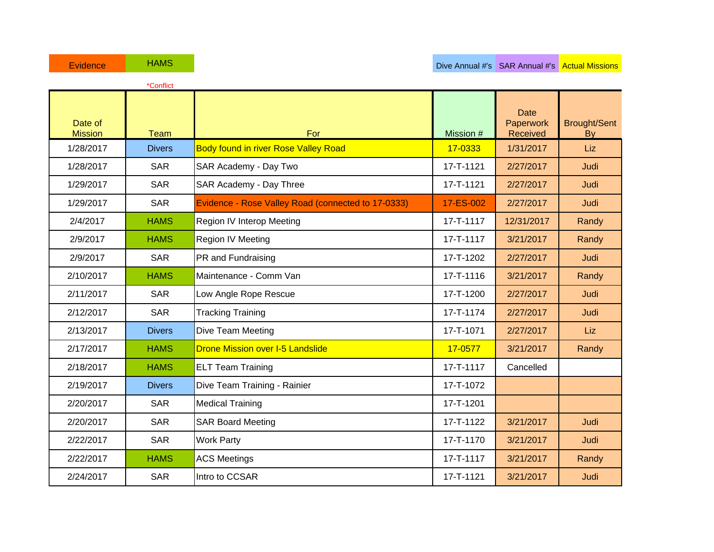1/28/2017 Divers Body found in river Rose Valley Road **17-0333** 1/31/2017 Liz 1/28/2017 | SAR SAR Academy - Day Two 17-T-1121 | 2/27/2017 | Judi 1/29/2017 | SAR SAR Academy - Day Three 17-T-1121 | 2/27/2017 | Judi 1/29/2017 SAR Evidence - Rose Valley Road (connected to 17-0333) 17-ES-002 2/27/2017 Judi 2/4/2017 **HAMS** Region IV Interop Meeting **17-T-1117** 12/31/2017 **Randy** 2/9/2017 **HAMS** Region IV Meeting **17-T-1117** 3/21/2017 Randy 2/9/2017 | SAR | PR and Fundraising | 17-T-1202 | 2/27/2017 | Judi 2/10/2017 | HAMS Maintenance - Comm Van 17-T-1116 | 3/21/2017 | Randy 2/11/2017 | SAR | Low Angle Rope Rescue | 17-T-1200 | 2/27/2017 | Judi 2/12/2017 | SAR | Tracking Training 17-T-1174 | 2/27/2017 | Judi 2/13/2017 Divers Dive Team Meeting 17-T-1071 2/27/2017 Liz 2/17/2017 | HAMS Drone Mission over I-5 Landslide 17-17-0577 | 3/21/2017 | Randy 2/18/2017 **HAMS** ELT Team Training **17-T-1117** Cancelled 2/19/2017 Divers Dive Team Training - Rainier 17-T-1072 2/20/2017 | SAR | Medical Training 17-T-1201 2/20/2017 | SAR Soard Meeting | 17-T-1122 3/21/2017 Judi 2/22/2017 SAR Work Party 17-T-1170 3/21/2017 Judi 2/22/2017 **HAMS** ACS Meetings 17-T-1117 3/21/2017 Randy 2/24/2017 | SAR |Intro to CCSAR | 17-T-1121 3/21/2017 | Judi \*Conflict Date of Mission Team For Mission # **Date Paperwork** Received Brought/Sent By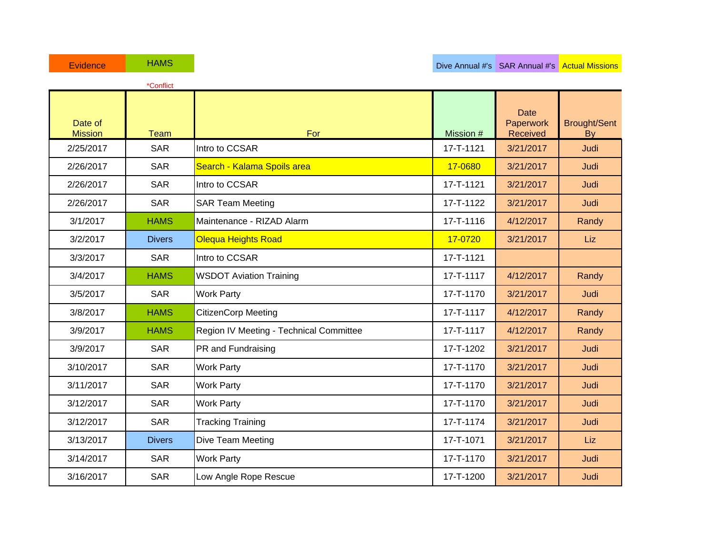|                           | *Conflict     |                                         |           |                                      |                                  |
|---------------------------|---------------|-----------------------------------------|-----------|--------------------------------------|----------------------------------|
| Date of<br><b>Mission</b> | <b>Team</b>   | For                                     | Mission # | <b>Date</b><br>Paperwork<br>Received | <b>Brought/Sent</b><br><b>By</b> |
| 2/25/2017                 | <b>SAR</b>    | Intro to CCSAR                          | 17-T-1121 | 3/21/2017                            | Judi                             |
| 2/26/2017                 | <b>SAR</b>    | Search - Kalama Spoils area             | 17-0680   | 3/21/2017                            | Judi                             |
| 2/26/2017                 | <b>SAR</b>    | Intro to CCSAR                          | 17-T-1121 | 3/21/2017                            | Judi                             |
| 2/26/2017                 | <b>SAR</b>    | <b>SAR Team Meeting</b>                 | 17-T-1122 | 3/21/2017                            | Judi                             |
| 3/1/2017                  | <b>HAMS</b>   | Maintenance - RIZAD Alarm               | 17-T-1116 | 4/12/2017                            | Randy                            |
| 3/2/2017                  | <b>Divers</b> | <b>Olequa Heights Road</b>              | 17-0720   | 3/21/2017                            | Liz                              |
| 3/3/2017                  | <b>SAR</b>    | Intro to CCSAR                          | 17-T-1121 |                                      |                                  |
| 3/4/2017                  | <b>HAMS</b>   | <b>WSDOT Aviation Training</b>          | 17-T-1117 | 4/12/2017                            | Randy                            |
| 3/5/2017                  | <b>SAR</b>    | <b>Work Party</b>                       | 17-T-1170 | 3/21/2017                            | Judi                             |
| 3/8/2017                  | <b>HAMS</b>   | <b>CitizenCorp Meeting</b>              | 17-T-1117 | 4/12/2017                            | Randy                            |
| 3/9/2017                  | <b>HAMS</b>   | Region IV Meeting - Technical Committee | 17-T-1117 | 4/12/2017                            | Randy                            |
| 3/9/2017                  | <b>SAR</b>    | PR and Fundraising                      | 17-T-1202 | 3/21/2017                            | Judi                             |
| 3/10/2017                 | <b>SAR</b>    | <b>Work Party</b>                       | 17-T-1170 | 3/21/2017                            | Judi                             |
| 3/11/2017                 | <b>SAR</b>    | <b>Work Party</b>                       | 17-T-1170 | 3/21/2017                            | Judi                             |
| 3/12/2017                 | <b>SAR</b>    | <b>Work Party</b>                       | 17-T-1170 | 3/21/2017                            | Judi                             |
| 3/12/2017                 | <b>SAR</b>    | <b>Tracking Training</b>                | 17-T-1174 | 3/21/2017                            | Judi                             |
| 3/13/2017                 | <b>Divers</b> | Dive Team Meeting                       | 17-T-1071 | 3/21/2017                            | Liz                              |
| 3/14/2017                 | <b>SAR</b>    | <b>Work Party</b>                       | 17-T-1170 | 3/21/2017                            | Judi                             |
| 3/16/2017                 | <b>SAR</b>    | Low Angle Rope Rescue                   | 17-T-1200 | 3/21/2017                            | Judi                             |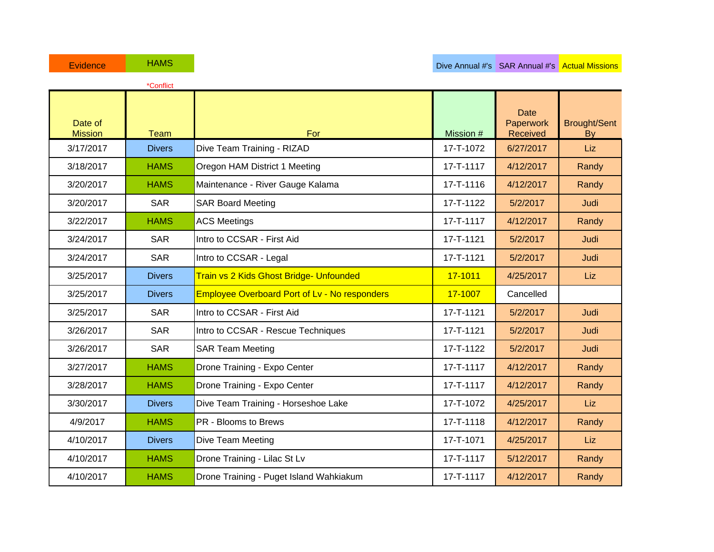|                           | *Conflict     |                                                      |           |                                      |                           |
|---------------------------|---------------|------------------------------------------------------|-----------|--------------------------------------|---------------------------|
| Date of<br><b>Mission</b> | <b>Team</b>   | For                                                  | Mission # | <b>Date</b><br>Paperwork<br>Received | <b>Brought/Sent</b><br>By |
| 3/17/2017                 | <b>Divers</b> | Dive Team Training - RIZAD                           | 17-T-1072 | 6/27/2017                            | Liz                       |
| 3/18/2017                 | <b>HAMS</b>   | Oregon HAM District 1 Meeting                        | 17-T-1117 | 4/12/2017                            | Randy                     |
| 3/20/2017                 | <b>HAMS</b>   | Maintenance - River Gauge Kalama                     | 17-T-1116 | 4/12/2017                            | Randy                     |
| 3/20/2017                 | <b>SAR</b>    | <b>SAR Board Meeting</b>                             | 17-T-1122 | 5/2/2017                             | Judi                      |
| 3/22/2017                 | <b>HAMS</b>   | <b>ACS Meetings</b>                                  | 17-T-1117 | 4/12/2017                            | Randy                     |
| 3/24/2017                 | <b>SAR</b>    | Intro to CCSAR - First Aid                           | 17-T-1121 | 5/2/2017                             | Judi                      |
| 3/24/2017                 | <b>SAR</b>    | Intro to CCSAR - Legal                               | 17-T-1121 | 5/2/2017                             | Judi                      |
| 3/25/2017                 | <b>Divers</b> | Train vs 2 Kids Ghost Bridge- Unfounded              | 17-1011   | 4/25/2017                            | Liz                       |
| 3/25/2017                 | <b>Divers</b> | <b>Employee Overboard Port of Lv - No responders</b> | 17-1007   | Cancelled                            |                           |
| 3/25/2017                 | <b>SAR</b>    | Intro to CCSAR - First Aid                           | 17-T-1121 | 5/2/2017                             | Judi                      |
| 3/26/2017                 | <b>SAR</b>    | Intro to CCSAR - Rescue Techniques                   | 17-T-1121 | 5/2/2017                             | Judi                      |
| 3/26/2017                 | <b>SAR</b>    | <b>SAR Team Meeting</b>                              | 17-T-1122 | 5/2/2017                             | Judi                      |
| 3/27/2017                 | <b>HAMS</b>   | Drone Training - Expo Center                         | 17-T-1117 | 4/12/2017                            | Randy                     |
| 3/28/2017                 | <b>HAMS</b>   | Drone Training - Expo Center                         | 17-T-1117 | 4/12/2017                            | Randy                     |
| 3/30/2017                 | <b>Divers</b> | Dive Team Training - Horseshoe Lake                  | 17-T-1072 | 4/25/2017                            | Liz                       |
| 4/9/2017                  | <b>HAMS</b>   | PR - Blooms to Brews                                 | 17-T-1118 | 4/12/2017                            | Randy                     |
| 4/10/2017                 | <b>Divers</b> | Dive Team Meeting                                    | 17-T-1071 | 4/25/2017                            | Liz                       |
| 4/10/2017                 | <b>HAMS</b>   | Drone Training - Lilac St Lv                         | 17-T-1117 | 5/12/2017                            | Randy                     |
| 4/10/2017                 | <b>HAMS</b>   | Drone Training - Puget Island Wahkiakum              | 17-T-1117 | 4/12/2017                            | Randy                     |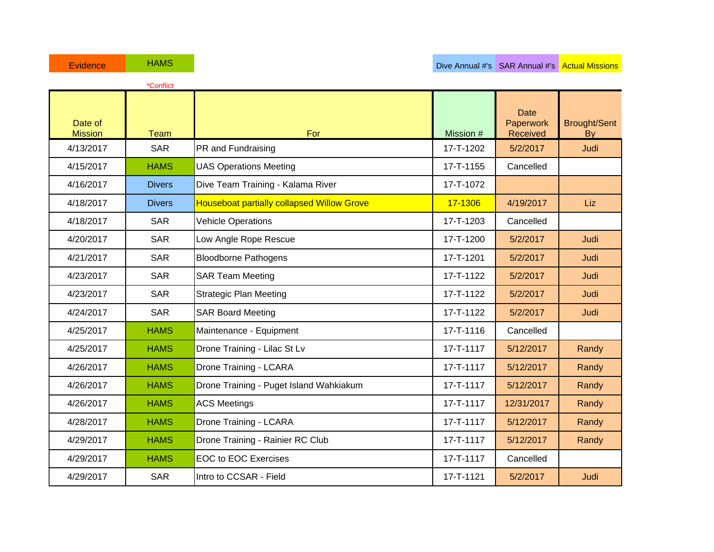|                           | *Conflict     |                                                   |           |                                      |                           |
|---------------------------|---------------|---------------------------------------------------|-----------|--------------------------------------|---------------------------|
| Date of<br><b>Mission</b> | <b>Team</b>   | For                                               | Mission # | <b>Date</b><br>Paperwork<br>Received | <b>Brought/Sent</b><br>By |
| 4/13/2017                 | <b>SAR</b>    | PR and Fundraising                                | 17-T-1202 | 5/2/2017                             | Judi                      |
| 4/15/2017                 | <b>HAMS</b>   | <b>UAS Operations Meeting</b>                     | 17-T-1155 | Cancelled                            |                           |
| 4/16/2017                 | <b>Divers</b> | Dive Team Training - Kalama River                 | 17-T-1072 |                                      |                           |
| 4/18/2017                 | <b>Divers</b> | <b>Houseboat partially collapsed Willow Grove</b> | 17-1306   | 4/19/2017                            | Liz                       |
| 4/18/2017                 | <b>SAR</b>    | <b>Vehicle Operations</b>                         | 17-T-1203 | Cancelled                            |                           |
| 4/20/2017                 | <b>SAR</b>    | Low Angle Rope Rescue                             | 17-T-1200 | 5/2/2017                             | Judi                      |
| 4/21/2017                 | <b>SAR</b>    | <b>Bloodborne Pathogens</b>                       | 17-T-1201 | 5/2/2017                             | Judi                      |
| 4/23/2017                 | <b>SAR</b>    | <b>SAR Team Meeting</b>                           | 17-T-1122 | 5/2/2017                             | Judi                      |
| 4/23/2017                 | <b>SAR</b>    | <b>Strategic Plan Meeting</b>                     | 17-T-1122 | 5/2/2017                             | Judi                      |
| 4/24/2017                 | <b>SAR</b>    | <b>SAR Board Meeting</b>                          | 17-T-1122 | 5/2/2017                             | Judi                      |
| 4/25/2017                 | <b>HAMS</b>   | Maintenance - Equipment                           | 17-T-1116 | Cancelled                            |                           |
| 4/25/2017                 | <b>HAMS</b>   | Drone Training - Lilac St Lv                      | 17-T-1117 | 5/12/2017                            | Randy                     |
| 4/26/2017                 | <b>HAMS</b>   | Drone Training - LCARA                            | 17-T-1117 | 5/12/2017                            | Randy                     |
| 4/26/2017                 | <b>HAMS</b>   | Drone Training - Puget Island Wahkiakum           | 17-T-1117 | 5/12/2017                            | Randy                     |
| 4/26/2017                 | <b>HAMS</b>   | <b>ACS Meetings</b>                               | 17-T-1117 | 12/31/2017                           | Randy                     |
| 4/28/2017                 | <b>HAMS</b>   | Drone Training - LCARA                            | 17-T-1117 | 5/12/2017                            | Randy                     |
| 4/29/2017                 | <b>HAMS</b>   | Drone Training - Rainier RC Club                  | 17-T-1117 | 5/12/2017                            | Randy                     |
| 4/29/2017                 | <b>HAMS</b>   | <b>EOC to EOC Exercises</b>                       | 17-T-1117 | Cancelled                            |                           |
| 4/29/2017                 | <b>SAR</b>    | Intro to CCSAR - Field                            | 17-T-1121 | 5/2/2017                             | Judi                      |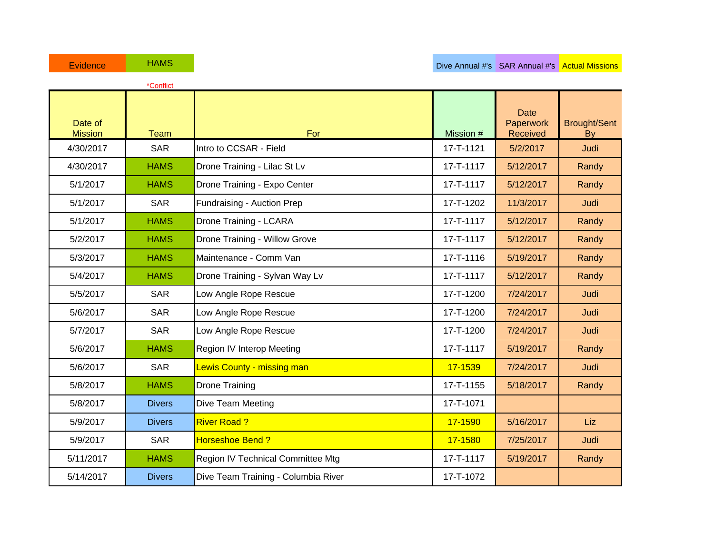|                           | *Conflict     |                                     |           |                                             |                                  |
|---------------------------|---------------|-------------------------------------|-----------|---------------------------------------------|----------------------------------|
| Date of<br><b>Mission</b> | <b>Team</b>   | For                                 | Mission # | <b>Date</b><br>Paperwork<br><b>Received</b> | <b>Brought/Sent</b><br><b>By</b> |
| 4/30/2017                 | <b>SAR</b>    | Intro to CCSAR - Field              | 17-T-1121 | 5/2/2017                                    | Judi                             |
| 4/30/2017                 | <b>HAMS</b>   | Drone Training - Lilac St Lv        | 17-T-1117 | 5/12/2017                                   | Randy                            |
| 5/1/2017                  | <b>HAMS</b>   | Drone Training - Expo Center        | 17-T-1117 | 5/12/2017                                   | Randy                            |
| 5/1/2017                  | <b>SAR</b>    | Fundraising - Auction Prep          | 17-T-1202 | 11/3/2017                                   | Judi                             |
| 5/1/2017                  | <b>HAMS</b>   | Drone Training - LCARA              | 17-T-1117 | 5/12/2017                                   | Randy                            |
| 5/2/2017                  | <b>HAMS</b>   | Drone Training - Willow Grove       | 17-T-1117 | 5/12/2017                                   | Randy                            |
| 5/3/2017                  | <b>HAMS</b>   | Maintenance - Comm Van              | 17-T-1116 | 5/19/2017                                   | Randy                            |
| 5/4/2017                  | <b>HAMS</b>   | Drone Training - Sylvan Way Lv      | 17-T-1117 | 5/12/2017                                   | Randy                            |
| 5/5/2017                  | <b>SAR</b>    | Low Angle Rope Rescue               | 17-T-1200 | 7/24/2017                                   | Judi                             |
| 5/6/2017                  | <b>SAR</b>    | Low Angle Rope Rescue               | 17-T-1200 | 7/24/2017                                   | Judi                             |
| 5/7/2017                  | <b>SAR</b>    | Low Angle Rope Rescue               | 17-T-1200 | 7/24/2017                                   | Judi                             |
| 5/6/2017                  | <b>HAMS</b>   | Region IV Interop Meeting           | 17-T-1117 | 5/19/2017                                   | Randy                            |
| 5/6/2017                  | <b>SAR</b>    | Lewis County - missing man          | 17-1539   | 7/24/2017                                   | Judi                             |
| 5/8/2017                  | <b>HAMS</b>   | <b>Drone Training</b>               | 17-T-1155 | 5/18/2017                                   | Randy                            |
| 5/8/2017                  | <b>Divers</b> | Dive Team Meeting                   | 17-T-1071 |                                             |                                  |
| 5/9/2017                  | <b>Divers</b> | <b>River Road?</b>                  | 17-1590   | 5/16/2017                                   | Liz                              |
| 5/9/2017                  | <b>SAR</b>    | <b>Horseshoe Bend?</b>              | 17-1580   | 7/25/2017                                   | Judi                             |
| 5/11/2017                 | <b>HAMS</b>   | Region IV Technical Committee Mtg   | 17-T-1117 | 5/19/2017                                   | Randy                            |
| 5/14/2017                 | <b>Divers</b> | Dive Team Training - Columbia River | 17-T-1072 |                                             |                                  |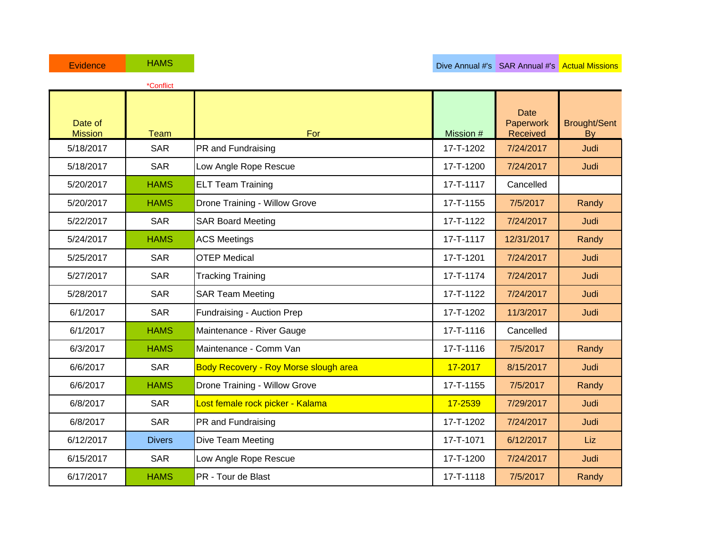|                           | *Conflict     |                                              |           |                                      |                                  |
|---------------------------|---------------|----------------------------------------------|-----------|--------------------------------------|----------------------------------|
| Date of<br><b>Mission</b> | <b>Team</b>   | For                                          | Mission # | <b>Date</b><br>Paperwork<br>Received | <b>Brought/Sent</b><br><b>By</b> |
| 5/18/2017                 | <b>SAR</b>    | PR and Fundraising                           | 17-T-1202 | 7/24/2017                            | Judi                             |
| 5/18/2017                 | <b>SAR</b>    | Low Angle Rope Rescue                        | 17-T-1200 | 7/24/2017                            | Judi                             |
| 5/20/2017                 | <b>HAMS</b>   | <b>ELT Team Training</b>                     | 17-T-1117 | Cancelled                            |                                  |
| 5/20/2017                 | <b>HAMS</b>   | Drone Training - Willow Grove                | 17-T-1155 | 7/5/2017                             | Randy                            |
| 5/22/2017                 | <b>SAR</b>    | <b>SAR Board Meeting</b>                     | 17-T-1122 | 7/24/2017                            | Judi                             |
| 5/24/2017                 | <b>HAMS</b>   | <b>ACS Meetings</b>                          | 17-T-1117 | 12/31/2017                           | Randy                            |
| 5/25/2017                 | <b>SAR</b>    | <b>OTEP Medical</b>                          | 17-T-1201 | 7/24/2017                            | Judi                             |
| 5/27/2017                 | <b>SAR</b>    | <b>Tracking Training</b>                     | 17-T-1174 | 7/24/2017                            | Judi                             |
| 5/28/2017                 | <b>SAR</b>    | <b>SAR Team Meeting</b>                      | 17-T-1122 | 7/24/2017                            | Judi                             |
| 6/1/2017                  | <b>SAR</b>    | Fundraising - Auction Prep                   | 17-T-1202 | 11/3/2017                            | Judi                             |
| 6/1/2017                  | <b>HAMS</b>   | Maintenance - River Gauge                    | 17-T-1116 | Cancelled                            |                                  |
| 6/3/2017                  | <b>HAMS</b>   | Maintenance - Comm Van                       | 17-T-1116 | 7/5/2017                             | Randy                            |
| 6/6/2017                  | <b>SAR</b>    | <b>Body Recovery - Roy Morse slough area</b> | 17-2017   | 8/15/2017                            | Judi                             |
| 6/6/2017                  | <b>HAMS</b>   | Drone Training - Willow Grove                | 17-T-1155 | 7/5/2017                             | Randy                            |
| 6/8/2017                  | <b>SAR</b>    | Lost female rock picker - Kalama             | 17-2539   | 7/29/2017                            | Judi                             |
| 6/8/2017                  | <b>SAR</b>    | PR and Fundraising                           | 17-T-1202 | 7/24/2017                            | Judi                             |
| 6/12/2017                 | <b>Divers</b> | <b>Dive Team Meeting</b>                     | 17-T-1071 | 6/12/2017                            | Liz                              |
| 6/15/2017                 | <b>SAR</b>    | Low Angle Rope Rescue                        | 17-T-1200 | 7/24/2017                            | Judi                             |
| 6/17/2017                 | <b>HAMS</b>   | PR - Tour de Blast                           | 17-T-1118 | 7/5/2017                             | Randy                            |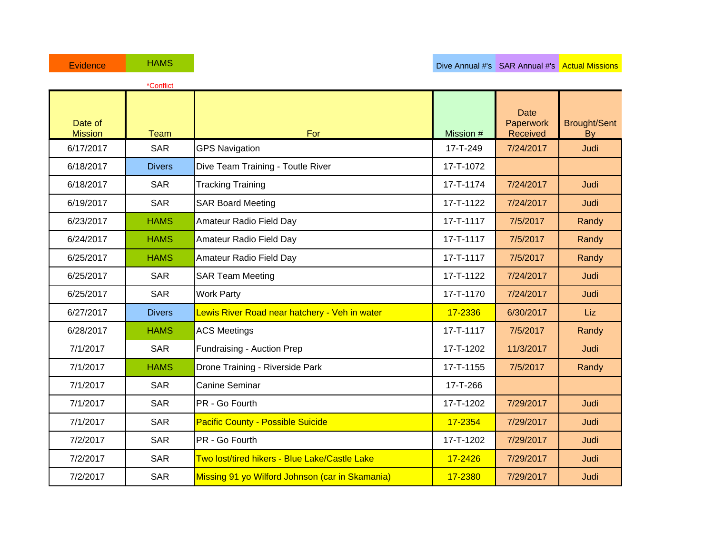|                           | *Conflict     |                                                 |           |                                      |                           |
|---------------------------|---------------|-------------------------------------------------|-----------|--------------------------------------|---------------------------|
| Date of<br><b>Mission</b> | <b>Team</b>   | For                                             | Mission # | <b>Date</b><br>Paperwork<br>Received | <b>Brought/Sent</b><br>By |
| 6/17/2017                 | <b>SAR</b>    | <b>GPS Navigation</b>                           | 17-T-249  | 7/24/2017                            | Judi                      |
| 6/18/2017                 | <b>Divers</b> | Dive Team Training - Toutle River               | 17-T-1072 |                                      |                           |
| 6/18/2017                 | <b>SAR</b>    | <b>Tracking Training</b>                        | 17-T-1174 | 7/24/2017                            | Judi                      |
| 6/19/2017                 | <b>SAR</b>    | <b>SAR Board Meeting</b>                        | 17-T-1122 | 7/24/2017                            | Judi                      |
| 6/23/2017                 | <b>HAMS</b>   | Amateur Radio Field Day                         | 17-T-1117 | 7/5/2017                             | Randy                     |
| 6/24/2017                 | <b>HAMS</b>   | Amateur Radio Field Day                         | 17-T-1117 | 7/5/2017                             | Randy                     |
| 6/25/2017                 | <b>HAMS</b>   | Amateur Radio Field Day                         | 17-T-1117 | 7/5/2017                             | Randy                     |
| 6/25/2017                 | <b>SAR</b>    | <b>SAR Team Meeting</b>                         | 17-T-1122 | 7/24/2017                            | Judi                      |
| 6/25/2017                 | <b>SAR</b>    | <b>Work Party</b>                               | 17-T-1170 | 7/24/2017                            | Judi                      |
| 6/27/2017                 | <b>Divers</b> | Lewis River Road near hatchery - Veh in water   | 17-2336   | 6/30/2017                            | <b>Liz</b>                |
| 6/28/2017                 | <b>HAMS</b>   | <b>ACS Meetings</b>                             | 17-T-1117 | 7/5/2017                             | Randy                     |
| 7/1/2017                  | <b>SAR</b>    | Fundraising - Auction Prep                      | 17-T-1202 | 11/3/2017                            | Judi                      |
| 7/1/2017                  | <b>HAMS</b>   | Drone Training - Riverside Park                 | 17-T-1155 | 7/5/2017                             | Randy                     |
| 7/1/2017                  | <b>SAR</b>    | <b>Canine Seminar</b>                           | 17-T-266  |                                      |                           |
| 7/1/2017                  | <b>SAR</b>    | PR - Go Fourth                                  | 17-T-1202 | 7/29/2017                            | Judi                      |
| 7/1/2017                  | <b>SAR</b>    | <b>Pacific County - Possible Suicide</b>        | 17-2354   | 7/29/2017                            | Judi                      |
| 7/2/2017                  | <b>SAR</b>    | PR - Go Fourth                                  | 17-T-1202 | 7/29/2017                            | Judi                      |
| 7/2/2017                  | <b>SAR</b>    | Two lost/tired hikers - Blue Lake/Castle Lake   | 17-2426   | 7/29/2017                            | Judi                      |
| 7/2/2017                  | <b>SAR</b>    | Missing 91 yo Wilford Johnson (car in Skamania) | 17-2380   | 7/29/2017                            | Judi                      |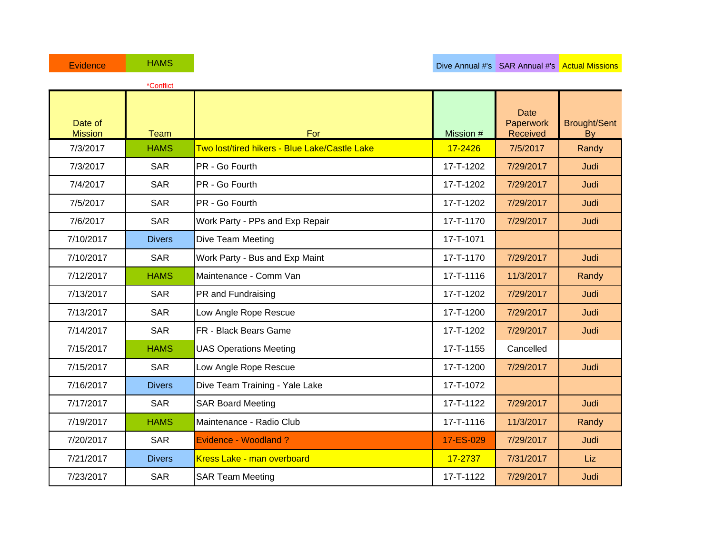|                           | *Conflict     |                                               |           |                                      |                                  |
|---------------------------|---------------|-----------------------------------------------|-----------|--------------------------------------|----------------------------------|
| Date of<br><b>Mission</b> | <b>Team</b>   | For                                           | Mission # | <b>Date</b><br>Paperwork<br>Received | <b>Brought/Sent</b><br><b>By</b> |
| 7/3/2017                  | <b>HAMS</b>   | Two lost/tired hikers - Blue Lake/Castle Lake | 17-2426   | 7/5/2017                             | Randy                            |
| 7/3/2017                  | <b>SAR</b>    | PR - Go Fourth                                | 17-T-1202 | 7/29/2017                            | Judi                             |
| 7/4/2017                  | <b>SAR</b>    | PR - Go Fourth                                | 17-T-1202 | 7/29/2017                            | Judi                             |
| 7/5/2017                  | <b>SAR</b>    | PR - Go Fourth                                | 17-T-1202 | 7/29/2017                            | Judi                             |
| 7/6/2017                  | <b>SAR</b>    | Work Party - PPs and Exp Repair               | 17-T-1170 | 7/29/2017                            | Judi                             |
| 7/10/2017                 | <b>Divers</b> | Dive Team Meeting                             | 17-T-1071 |                                      |                                  |
| 7/10/2017                 | <b>SAR</b>    | Work Party - Bus and Exp Maint                | 17-T-1170 | 7/29/2017                            | Judi                             |
| 7/12/2017                 | <b>HAMS</b>   | Maintenance - Comm Van                        | 17-T-1116 | 11/3/2017                            | Randy                            |
| 7/13/2017                 | <b>SAR</b>    | PR and Fundraising                            | 17-T-1202 | 7/29/2017                            | Judi                             |
| 7/13/2017                 | <b>SAR</b>    | Low Angle Rope Rescue                         | 17-T-1200 | 7/29/2017                            | Judi                             |
| 7/14/2017                 | <b>SAR</b>    | <b>FR</b> - Black Bears Game                  | 17-T-1202 | 7/29/2017                            | Judi                             |
| 7/15/2017                 | <b>HAMS</b>   | <b>UAS Operations Meeting</b>                 | 17-T-1155 | Cancelled                            |                                  |
| 7/15/2017                 | <b>SAR</b>    | Low Angle Rope Rescue                         | 17-T-1200 | 7/29/2017                            | Judi                             |
| 7/16/2017                 | <b>Divers</b> | Dive Team Training - Yale Lake                | 17-T-1072 |                                      |                                  |
| 7/17/2017                 | <b>SAR</b>    | <b>SAR Board Meeting</b>                      | 17-T-1122 | 7/29/2017                            | Judi                             |
| 7/19/2017                 | <b>HAMS</b>   | Maintenance - Radio Club                      | 17-T-1116 | 11/3/2017                            | Randy                            |
| 7/20/2017                 | <b>SAR</b>    | Evidence - Woodland?                          | 17-ES-029 | 7/29/2017                            | Judi                             |
| 7/21/2017                 | <b>Divers</b> | Kress Lake - man overboard                    | 17-2737   | 7/31/2017                            | Liz                              |
| 7/23/2017                 | <b>SAR</b>    | <b>SAR Team Meeting</b>                       | 17-T-1122 | 7/29/2017                            | Judi                             |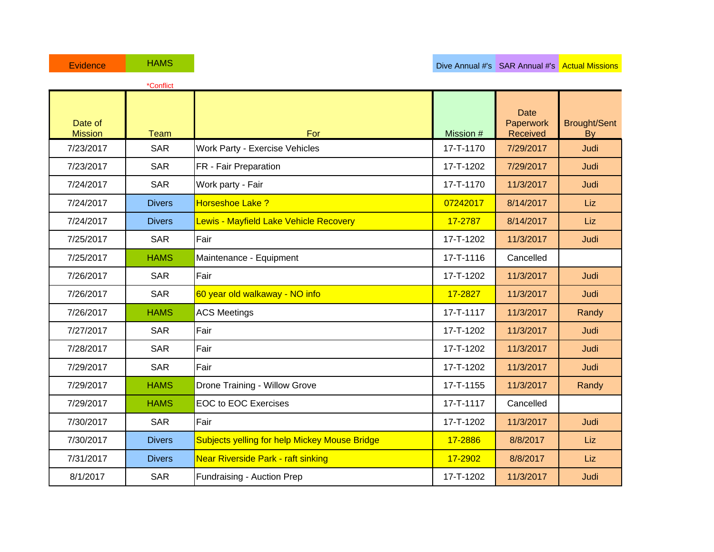|                           | *Conflict     |                                                      |           |                                      |                           |
|---------------------------|---------------|------------------------------------------------------|-----------|--------------------------------------|---------------------------|
| Date of<br><b>Mission</b> | <b>Team</b>   | For                                                  | Mission # | <b>Date</b><br>Paperwork<br>Received | <b>Brought/Sent</b><br>By |
| 7/23/2017                 | <b>SAR</b>    | Work Party - Exercise Vehicles                       | 17-T-1170 | 7/29/2017                            | Judi                      |
| 7/23/2017                 | <b>SAR</b>    | FR - Fair Preparation                                | 17-T-1202 | 7/29/2017                            | Judi                      |
| 7/24/2017                 | <b>SAR</b>    | Work party - Fair                                    | 17-T-1170 | 11/3/2017                            | Judi                      |
| 7/24/2017                 | <b>Divers</b> | Horseshoe Lake ?                                     | 07242017  | 8/14/2017                            | Liz                       |
| 7/24/2017                 | <b>Divers</b> | Lewis - Mayfield Lake Vehicle Recovery               | 17-2787   | 8/14/2017                            | Liz                       |
| 7/25/2017                 | <b>SAR</b>    | Fair                                                 | 17-T-1202 | 11/3/2017                            | Judi                      |
| 7/25/2017                 | <b>HAMS</b>   | Maintenance - Equipment                              | 17-T-1116 | Cancelled                            |                           |
| 7/26/2017                 | <b>SAR</b>    | Fair                                                 | 17-T-1202 | 11/3/2017                            | Judi                      |
| 7/26/2017                 | <b>SAR</b>    | 60 year old walkaway - NO info                       | 17-2827   | 11/3/2017                            | Judi                      |
| 7/26/2017                 | <b>HAMS</b>   | <b>ACS Meetings</b>                                  | 17-T-1117 | 11/3/2017                            | Randy                     |
| 7/27/2017                 | <b>SAR</b>    | Fair                                                 | 17-T-1202 | 11/3/2017                            | Judi                      |
| 7/28/2017                 | <b>SAR</b>    | Fair                                                 | 17-T-1202 | 11/3/2017                            | Judi                      |
| 7/29/2017                 | <b>SAR</b>    | Fair                                                 | 17-T-1202 | 11/3/2017                            | Judi                      |
| 7/29/2017                 | <b>HAMS</b>   | Drone Training - Willow Grove                        | 17-T-1155 | 11/3/2017                            | Randy                     |
| 7/29/2017                 | <b>HAMS</b>   | <b>EOC to EOC Exercises</b>                          | 17-T-1117 | Cancelled                            |                           |
| 7/30/2017                 | <b>SAR</b>    | Fair                                                 | 17-T-1202 | 11/3/2017                            | Judi                      |
| 7/30/2017                 | <b>Divers</b> | <b>Subjects yelling for help Mickey Mouse Bridge</b> | 17-2886   | 8/8/2017                             | Liz                       |
| 7/31/2017                 | <b>Divers</b> | <b>Near Riverside Park - raft sinking</b>            | 17-2902   | 8/8/2017                             | Liz                       |
| 8/1/2017                  | <b>SAR</b>    | Fundraising - Auction Prep                           | 17-T-1202 | 11/3/2017                            | Judi                      |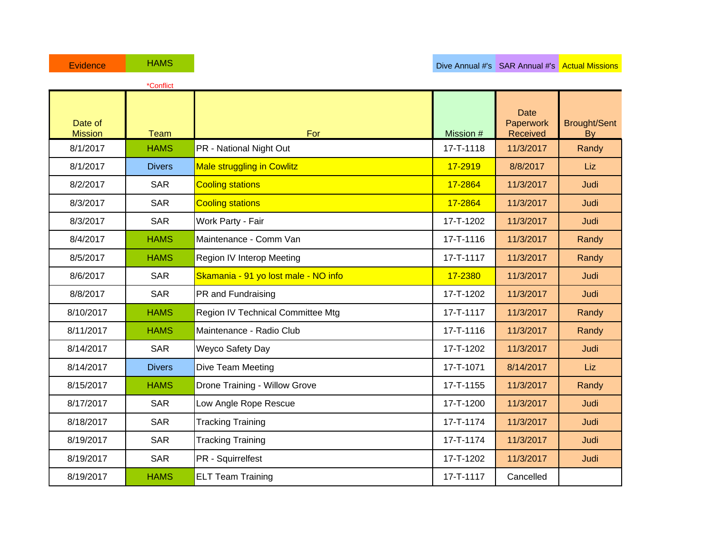|                           | *Conflict     |                                      |           |                                             |                           |
|---------------------------|---------------|--------------------------------------|-----------|---------------------------------------------|---------------------------|
| Date of<br><b>Mission</b> | <b>Team</b>   | For                                  | Mission # | <b>Date</b><br>Paperwork<br><b>Received</b> | <b>Brought/Sent</b><br>By |
| 8/1/2017                  | <b>HAMS</b>   | PR - National Night Out              | 17-T-1118 | 11/3/2017                                   | Randy                     |
| 8/1/2017                  | <b>Divers</b> | <b>Male struggling in Cowlitz</b>    | 17-2919   | 8/8/2017                                    | Liz                       |
| 8/2/2017                  | <b>SAR</b>    | <b>Cooling stations</b>              | 17-2864   | 11/3/2017                                   | Judi                      |
| 8/3/2017                  | <b>SAR</b>    | <b>Cooling stations</b>              | 17-2864   | 11/3/2017                                   | Judi                      |
| 8/3/2017                  | <b>SAR</b>    | Work Party - Fair                    | 17-T-1202 | 11/3/2017                                   | Judi                      |
| 8/4/2017                  | <b>HAMS</b>   | Maintenance - Comm Van               | 17-T-1116 | 11/3/2017                                   | Randy                     |
| 8/5/2017                  | <b>HAMS</b>   | Region IV Interop Meeting            | 17-T-1117 | 11/3/2017                                   | Randy                     |
| 8/6/2017                  | <b>SAR</b>    | Skamania - 91 yo lost male - NO info | 17-2380   | 11/3/2017                                   | Judi                      |
| 8/8/2017                  | <b>SAR</b>    | PR and Fundraising                   | 17-T-1202 | 11/3/2017                                   | Judi                      |
| 8/10/2017                 | <b>HAMS</b>   | Region IV Technical Committee Mtg    | 17-T-1117 | 11/3/2017                                   | Randy                     |
| 8/11/2017                 | <b>HAMS</b>   | Maintenance - Radio Club             | 17-T-1116 | 11/3/2017                                   | Randy                     |
| 8/14/2017                 | <b>SAR</b>    | Weyco Safety Day                     | 17-T-1202 | 11/3/2017                                   | Judi                      |
| 8/14/2017                 | <b>Divers</b> | Dive Team Meeting                    | 17-T-1071 | 8/14/2017                                   | Liz                       |
| 8/15/2017                 | <b>HAMS</b>   | Drone Training - Willow Grove        | 17-T-1155 | 11/3/2017                                   | Randy                     |
| 8/17/2017                 | <b>SAR</b>    | Low Angle Rope Rescue                | 17-T-1200 | 11/3/2017                                   | Judi                      |
| 8/18/2017                 | <b>SAR</b>    | <b>Tracking Training</b>             | 17-T-1174 | 11/3/2017                                   | Judi                      |
| 8/19/2017                 | <b>SAR</b>    | <b>Tracking Training</b>             | 17-T-1174 | 11/3/2017                                   | Judi                      |
| 8/19/2017                 | <b>SAR</b>    | PR - Squirrelfest                    | 17-T-1202 | 11/3/2017                                   | Judi                      |
| 8/19/2017                 | <b>HAMS</b>   | <b>ELT Team Training</b>             | 17-T-1117 | Cancelled                                   |                           |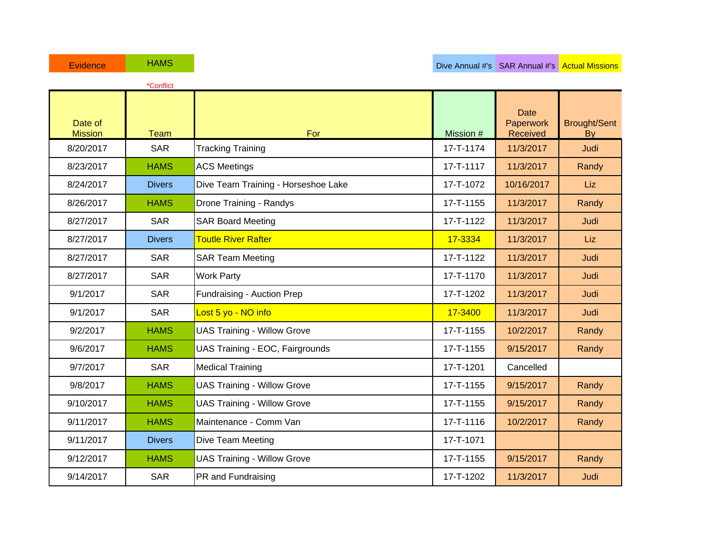|                           | *Conflict     |                                     |           |                                      |                           |
|---------------------------|---------------|-------------------------------------|-----------|--------------------------------------|---------------------------|
| Date of<br><b>Mission</b> | <b>Team</b>   | For                                 | Mission # | <b>Date</b><br>Paperwork<br>Received | <b>Brought/Sent</b><br>By |
| 8/20/2017                 | <b>SAR</b>    | <b>Tracking Training</b>            | 17-T-1174 | 11/3/2017                            | Judi                      |
| 8/23/2017                 | <b>HAMS</b>   | <b>ACS Meetings</b>                 | 17-T-1117 | 11/3/2017                            | Randy                     |
| 8/24/2017                 | <b>Divers</b> | Dive Team Training - Horseshoe Lake | 17-T-1072 | 10/16/2017                           | Liz                       |
| 8/26/2017                 | <b>HAMS</b>   | Drone Training - Randys             | 17-T-1155 | 11/3/2017                            | Randy                     |
| 8/27/2017                 | <b>SAR</b>    | <b>SAR Board Meeting</b>            | 17-T-1122 | 11/3/2017                            | Judi                      |
| 8/27/2017                 | <b>Divers</b> | <b>Toutle River Rafter</b>          | 17-3334   | 11/3/2017                            | Liz                       |
| 8/27/2017                 | <b>SAR</b>    | <b>SAR Team Meeting</b>             | 17-T-1122 | 11/3/2017                            | Judi                      |
| 8/27/2017                 | <b>SAR</b>    | <b>Work Party</b>                   | 17-T-1170 | 11/3/2017                            | Judi                      |
| 9/1/2017                  | <b>SAR</b>    | Fundraising - Auction Prep          | 17-T-1202 | 11/3/2017                            | Judi                      |
| 9/1/2017                  | <b>SAR</b>    | Lost 5 yo - NO info                 | 17-3400   | 11/3/2017                            | Judi                      |
| 9/2/2017                  | <b>HAMS</b>   | <b>UAS Training - Willow Grove</b>  | 17-T-1155 | 10/2/2017                            | Randy                     |
| 9/6/2017                  | <b>HAMS</b>   | UAS Training - EOC, Fairgrounds     | 17-T-1155 | 9/15/2017                            | Randy                     |
| 9/7/2017                  | <b>SAR</b>    | <b>Medical Training</b>             | 17-T-1201 | Cancelled                            |                           |
| 9/8/2017                  | <b>HAMS</b>   | <b>UAS Training - Willow Grove</b>  | 17-T-1155 | 9/15/2017                            | Randy                     |
| 9/10/2017                 | <b>HAMS</b>   | <b>UAS Training - Willow Grove</b>  | 17-T-1155 | 9/15/2017                            | Randy                     |
| 9/11/2017                 | <b>HAMS</b>   | Maintenance - Comm Van              | 17-T-1116 | 10/2/2017                            | Randy                     |
| 9/11/2017                 | <b>Divers</b> | Dive Team Meeting                   | 17-T-1071 |                                      |                           |
| 9/12/2017                 | <b>HAMS</b>   | <b>UAS Training - Willow Grove</b>  | 17-T-1155 | 9/15/2017                            | Randy                     |
| 9/14/2017                 | <b>SAR</b>    | PR and Fundraising                  | 17-T-1202 | 11/3/2017                            | Judi                      |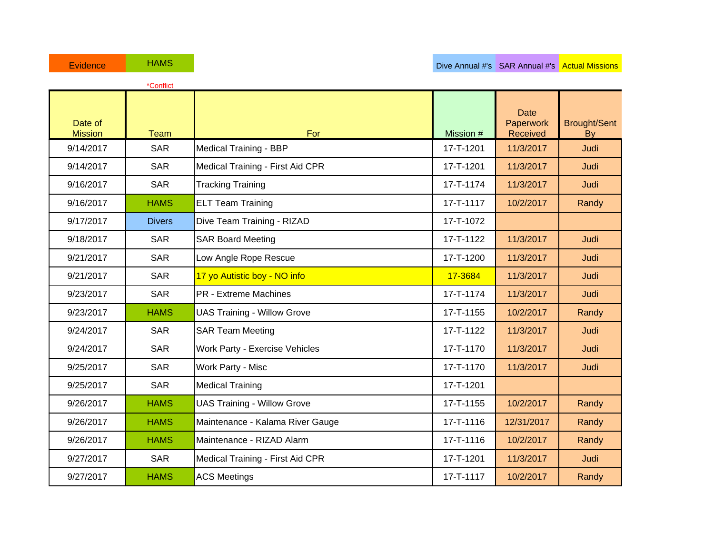|                           | *Conflict     |                                    |           |                                      |                                  |
|---------------------------|---------------|------------------------------------|-----------|--------------------------------------|----------------------------------|
| Date of<br><b>Mission</b> | <b>Team</b>   | For                                | Mission # | <b>Date</b><br>Paperwork<br>Received | <b>Brought/Sent</b><br><b>By</b> |
| 9/14/2017                 | <b>SAR</b>    | <b>Medical Training - BBP</b>      | 17-T-1201 | 11/3/2017                            | Judi                             |
| 9/14/2017                 | <b>SAR</b>    | Medical Training - First Aid CPR   | 17-T-1201 | 11/3/2017                            | Judi                             |
| 9/16/2017                 | <b>SAR</b>    | <b>Tracking Training</b>           | 17-T-1174 | 11/3/2017                            | Judi                             |
| 9/16/2017                 | <b>HAMS</b>   | <b>ELT Team Training</b>           | 17-T-1117 | 10/2/2017                            | Randy                            |
| 9/17/2017                 | <b>Divers</b> | Dive Team Training - RIZAD         | 17-T-1072 |                                      |                                  |
| 9/18/2017                 | <b>SAR</b>    | <b>SAR Board Meeting</b>           | 17-T-1122 | 11/3/2017                            | Judi                             |
| 9/21/2017                 | <b>SAR</b>    | Low Angle Rope Rescue              | 17-T-1200 | 11/3/2017                            | Judi                             |
| 9/21/2017                 | <b>SAR</b>    | 17 yo Autistic boy - NO info       | 17-3684   | 11/3/2017                            | Judi                             |
| 9/23/2017                 | <b>SAR</b>    | <b>PR</b> - Extreme Machines       | 17-T-1174 | 11/3/2017                            | Judi                             |
| 9/23/2017                 | <b>HAMS</b>   | <b>UAS Training - Willow Grove</b> | 17-T-1155 | 10/2/2017                            | Randy                            |
| 9/24/2017                 | <b>SAR</b>    | <b>SAR Team Meeting</b>            | 17-T-1122 | 11/3/2017                            | Judi                             |
| 9/24/2017                 | <b>SAR</b>    | Work Party - Exercise Vehicles     | 17-T-1170 | 11/3/2017                            | Judi                             |
| 9/25/2017                 | <b>SAR</b>    | Work Party - Misc                  | 17-T-1170 | 11/3/2017                            | Judi                             |
| 9/25/2017                 | <b>SAR</b>    | <b>Medical Training</b>            | 17-T-1201 |                                      |                                  |
| 9/26/2017                 | <b>HAMS</b>   | <b>UAS Training - Willow Grove</b> | 17-T-1155 | 10/2/2017                            | Randy                            |
| 9/26/2017                 | <b>HAMS</b>   | Maintenance - Kalama River Gauge   | 17-T-1116 | 12/31/2017                           | Randy                            |
| 9/26/2017                 | <b>HAMS</b>   | Maintenance - RIZAD Alarm          | 17-T-1116 | 10/2/2017                            | Randy                            |
| 9/27/2017                 | <b>SAR</b>    | Medical Training - First Aid CPR   | 17-T-1201 | 11/3/2017                            | Judi                             |
| 9/27/2017                 | <b>HAMS</b>   | <b>ACS Meetings</b>                | 17-T-1117 | 10/2/2017                            | Randy                            |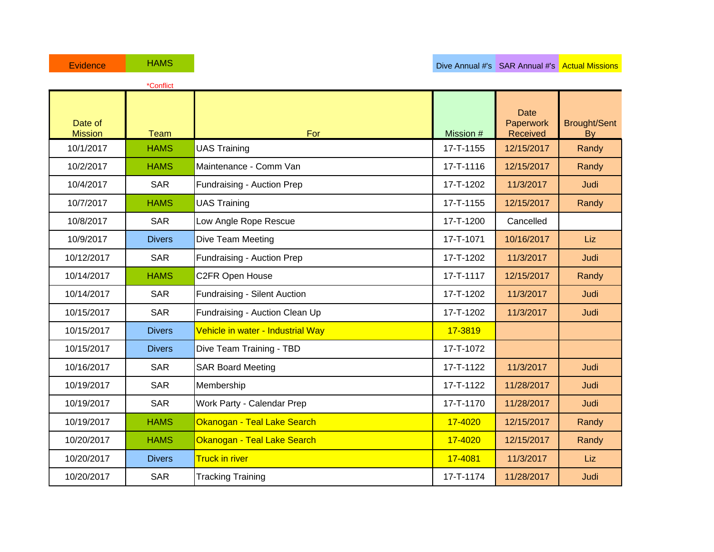|                           | *Conflict     |                                   |           |                                      |                                  |
|---------------------------|---------------|-----------------------------------|-----------|--------------------------------------|----------------------------------|
| Date of<br><b>Mission</b> | <b>Team</b>   | For                               | Mission # | <b>Date</b><br>Paperwork<br>Received | <b>Brought/Sent</b><br><b>By</b> |
| 10/1/2017                 | <b>HAMS</b>   | <b>UAS Training</b>               | 17-T-1155 | 12/15/2017                           | Randy                            |
| 10/2/2017                 | <b>HAMS</b>   | Maintenance - Comm Van            | 17-T-1116 | 12/15/2017                           | Randy                            |
| 10/4/2017                 | <b>SAR</b>    | Fundraising - Auction Prep        | 17-T-1202 | 11/3/2017                            | Judi                             |
| 10/7/2017                 | <b>HAMS</b>   | <b>UAS Training</b>               | 17-T-1155 | 12/15/2017                           | Randy                            |
| 10/8/2017                 | <b>SAR</b>    | Low Angle Rope Rescue             | 17-T-1200 | Cancelled                            |                                  |
| 10/9/2017                 | <b>Divers</b> | Dive Team Meeting                 | 17-T-1071 | 10/16/2017                           | Liz                              |
| 10/12/2017                | <b>SAR</b>    | Fundraising - Auction Prep        | 17-T-1202 | 11/3/2017                            | Judi                             |
| 10/14/2017                | <b>HAMS</b>   | C2FR Open House                   | 17-T-1117 | 12/15/2017                           | Randy                            |
| 10/14/2017                | <b>SAR</b>    | Fundraising - Silent Auction      | 17-T-1202 | 11/3/2017                            | Judi                             |
| 10/15/2017                | <b>SAR</b>    | Fundraising - Auction Clean Up    | 17-T-1202 | 11/3/2017                            | Judi                             |
| 10/15/2017                | <b>Divers</b> | Vehicle in water - Industrial Way | 17-3819   |                                      |                                  |
| 10/15/2017                | <b>Divers</b> | Dive Team Training - TBD          | 17-T-1072 |                                      |                                  |
| 10/16/2017                | <b>SAR</b>    | <b>SAR Board Meeting</b>          | 17-T-1122 | 11/3/2017                            | Judi                             |
| 10/19/2017                | <b>SAR</b>    | Membership                        | 17-T-1122 | 11/28/2017                           | Judi                             |
| 10/19/2017                | <b>SAR</b>    | Work Party - Calendar Prep        | 17-T-1170 | 11/28/2017                           | Judi                             |
| 10/19/2017                | <b>HAMS</b>   | Okanogan - Teal Lake Search       | 17-4020   | 12/15/2017                           | Randy                            |
| 10/20/2017                | <b>HAMS</b>   | Okanogan - Teal Lake Search       | 17-4020   | 12/15/2017                           | Randy                            |
| 10/20/2017                | <b>Divers</b> | <b>Truck in river</b>             | 17-4081   | 11/3/2017                            | Liz                              |
| 10/20/2017                | <b>SAR</b>    | <b>Tracking Training</b>          | 17-T-1174 | 11/28/2017                           | Judi                             |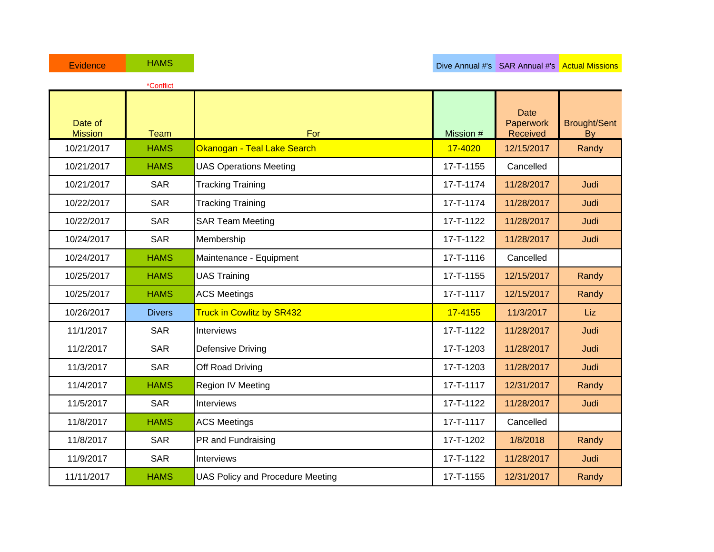|                           | *Conflict     |                                         |           |                                      |                                  |
|---------------------------|---------------|-----------------------------------------|-----------|--------------------------------------|----------------------------------|
| Date of<br><b>Mission</b> | <b>Team</b>   | For                                     | Mission # | <b>Date</b><br>Paperwork<br>Received | <b>Brought/Sent</b><br><b>By</b> |
| 10/21/2017                | <b>HAMS</b>   | Okanogan - Teal Lake Search             | 17-4020   | 12/15/2017                           | Randy                            |
| 10/21/2017                | <b>HAMS</b>   | <b>UAS Operations Meeting</b>           | 17-T-1155 | Cancelled                            |                                  |
| 10/21/2017                | <b>SAR</b>    | <b>Tracking Training</b>                | 17-T-1174 | 11/28/2017                           | Judi                             |
| 10/22/2017                | <b>SAR</b>    | <b>Tracking Training</b>                | 17-T-1174 | 11/28/2017                           | Judi                             |
| 10/22/2017                | <b>SAR</b>    | <b>SAR Team Meeting</b>                 | 17-T-1122 | 11/28/2017                           | Judi                             |
| 10/24/2017                | <b>SAR</b>    | Membership                              | 17-T-1122 | 11/28/2017                           | Judi                             |
| 10/24/2017                | <b>HAMS</b>   | Maintenance - Equipment                 | 17-T-1116 | Cancelled                            |                                  |
| 10/25/2017                | <b>HAMS</b>   | <b>UAS Training</b>                     | 17-T-1155 | 12/15/2017                           | Randy                            |
| 10/25/2017                | <b>HAMS</b>   | <b>ACS Meetings</b>                     | 17-T-1117 | 12/15/2017                           | Randy                            |
| 10/26/2017                | <b>Divers</b> | <b>Truck in Cowlitz by SR432</b>        | 17-4155   | 11/3/2017                            | Liz                              |
| 11/1/2017                 | <b>SAR</b>    | Interviews                              | 17-T-1122 | 11/28/2017                           | Judi                             |
| 11/2/2017                 | <b>SAR</b>    | <b>Defensive Driving</b>                | 17-T-1203 | 11/28/2017                           | Judi                             |
| 11/3/2017                 | <b>SAR</b>    | Off Road Driving                        | 17-T-1203 | 11/28/2017                           | Judi                             |
| 11/4/2017                 | <b>HAMS</b>   | Region IV Meeting                       | 17-T-1117 | 12/31/2017                           | Randy                            |
| 11/5/2017                 | <b>SAR</b>    | <b>Interviews</b>                       | 17-T-1122 | 11/28/2017                           | Judi                             |
| 11/8/2017                 | <b>HAMS</b>   | <b>ACS Meetings</b>                     | 17-T-1117 | Cancelled                            |                                  |
| 11/8/2017                 | <b>SAR</b>    | PR and Fundraising                      | 17-T-1202 | 1/8/2018                             | Randy                            |
| 11/9/2017                 | <b>SAR</b>    | Interviews                              | 17-T-1122 | 11/28/2017                           | Judi                             |
| 11/11/2017                | <b>HAMS</b>   | <b>UAS Policy and Procedure Meeting</b> | 17-T-1155 | 12/31/2017                           | Randy                            |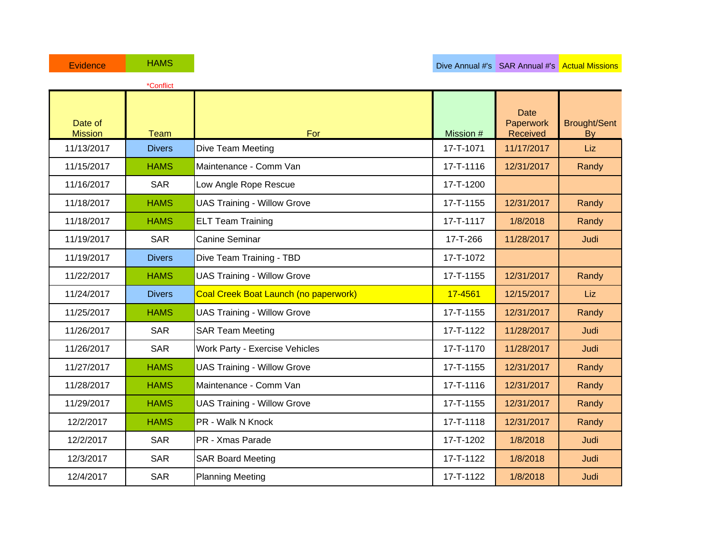|                           | *Conflict     |                                              |           |                                      |                                  |
|---------------------------|---------------|----------------------------------------------|-----------|--------------------------------------|----------------------------------|
| Date of<br><b>Mission</b> | <b>Team</b>   | For                                          | Mission # | <b>Date</b><br>Paperwork<br>Received | <b>Brought/Sent</b><br><b>By</b> |
| 11/13/2017                | <b>Divers</b> | Dive Team Meeting                            | 17-T-1071 | 11/17/2017                           | Liz                              |
| 11/15/2017                | <b>HAMS</b>   | Maintenance - Comm Van                       | 17-T-1116 | 12/31/2017                           | Randy                            |
| 11/16/2017                | <b>SAR</b>    | Low Angle Rope Rescue                        | 17-T-1200 |                                      |                                  |
| 11/18/2017                | <b>HAMS</b>   | <b>UAS Training - Willow Grove</b>           | 17-T-1155 | 12/31/2017                           | Randy                            |
| 11/18/2017                | <b>HAMS</b>   | <b>ELT Team Training</b>                     | 17-T-1117 | 1/8/2018                             | Randy                            |
| 11/19/2017                | <b>SAR</b>    | <b>Canine Seminar</b>                        | 17-T-266  | 11/28/2017                           | Judi                             |
| 11/19/2017                | <b>Divers</b> | Dive Team Training - TBD                     | 17-T-1072 |                                      |                                  |
| 11/22/2017                | <b>HAMS</b>   | <b>UAS Training - Willow Grove</b>           | 17-T-1155 | 12/31/2017                           | Randy                            |
| 11/24/2017                | <b>Divers</b> | <b>Coal Creek Boat Launch (no paperwork)</b> | 17-4561   | 12/15/2017                           | Liz                              |
| 11/25/2017                | <b>HAMS</b>   | <b>UAS Training - Willow Grove</b>           | 17-T-1155 | 12/31/2017                           | Randy                            |
| 11/26/2017                | <b>SAR</b>    | <b>SAR Team Meeting</b>                      | 17-T-1122 | 11/28/2017                           | Judi                             |
| 11/26/2017                | <b>SAR</b>    | Work Party - Exercise Vehicles               | 17-T-1170 | 11/28/2017                           | Judi                             |
| 11/27/2017                | <b>HAMS</b>   | <b>UAS Training - Willow Grove</b>           | 17-T-1155 | 12/31/2017                           | Randy                            |
| 11/28/2017                | <b>HAMS</b>   | Maintenance - Comm Van                       | 17-T-1116 | 12/31/2017                           | Randy                            |
| 11/29/2017                | <b>HAMS</b>   | <b>UAS Training - Willow Grove</b>           | 17-T-1155 | 12/31/2017                           | Randy                            |
| 12/2/2017                 | <b>HAMS</b>   | PR - Walk N Knock                            | 17-T-1118 | 12/31/2017                           | Randy                            |
| 12/2/2017                 | <b>SAR</b>    | PR - Xmas Parade                             | 17-T-1202 | 1/8/2018                             | Judi                             |
| 12/3/2017                 | <b>SAR</b>    | <b>SAR Board Meeting</b>                     | 17-T-1122 | 1/8/2018                             | Judi                             |
| 12/4/2017                 | <b>SAR</b>    | <b>Planning Meeting</b>                      | 17-T-1122 | 1/8/2018                             | Judi                             |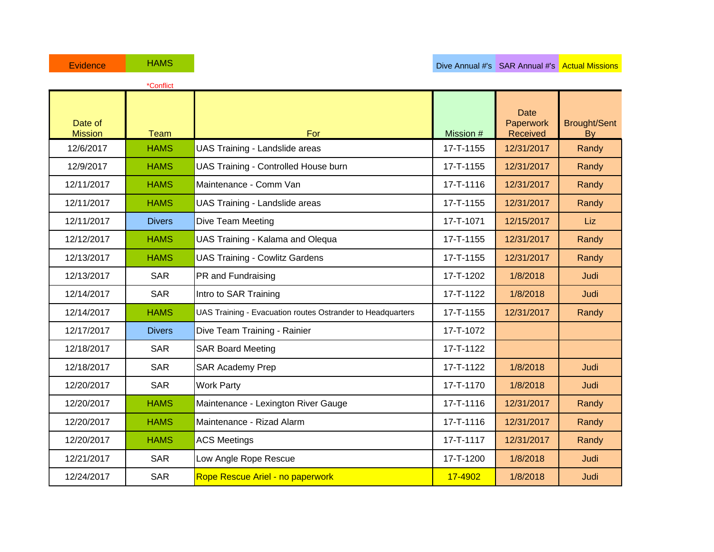|                           | *Conflict     |                                                            |           |                                      |                                  |
|---------------------------|---------------|------------------------------------------------------------|-----------|--------------------------------------|----------------------------------|
| Date of<br><b>Mission</b> | <b>Team</b>   | For                                                        | Mission # | <b>Date</b><br>Paperwork<br>Received | <b>Brought/Sent</b><br><b>By</b> |
| 12/6/2017                 | <b>HAMS</b>   | UAS Training - Landslide areas                             | 17-T-1155 | 12/31/2017                           | Randy                            |
| 12/9/2017                 | <b>HAMS</b>   | UAS Training - Controlled House burn                       | 17-T-1155 | 12/31/2017                           | Randy                            |
| 12/11/2017                | <b>HAMS</b>   | Maintenance - Comm Van                                     | 17-T-1116 | 12/31/2017                           | Randy                            |
| 12/11/2017                | <b>HAMS</b>   | UAS Training - Landslide areas                             | 17-T-1155 | 12/31/2017                           | Randy                            |
| 12/11/2017                | <b>Divers</b> | Dive Team Meeting                                          | 17-T-1071 | 12/15/2017                           | Liz                              |
| 12/12/2017                | <b>HAMS</b>   | UAS Training - Kalama and Olequa                           | 17-T-1155 | 12/31/2017                           | Randy                            |
| 12/13/2017                | <b>HAMS</b>   | <b>UAS Training - Cowlitz Gardens</b>                      | 17-T-1155 | 12/31/2017                           | Randy                            |
| 12/13/2017                | <b>SAR</b>    | PR and Fundraising                                         | 17-T-1202 | 1/8/2018                             | Judi                             |
| 12/14/2017                | <b>SAR</b>    | Intro to SAR Training                                      | 17-T-1122 | 1/8/2018                             | Judi                             |
| 12/14/2017                | <b>HAMS</b>   | UAS Training - Evacuation routes Ostrander to Headquarters | 17-T-1155 | 12/31/2017                           | Randy                            |
| 12/17/2017                | <b>Divers</b> | Dive Team Training - Rainier                               | 17-T-1072 |                                      |                                  |
| 12/18/2017                | <b>SAR</b>    | <b>SAR Board Meeting</b>                                   | 17-T-1122 |                                      |                                  |
| 12/18/2017                | <b>SAR</b>    | <b>SAR Academy Prep</b>                                    | 17-T-1122 | 1/8/2018                             | Judi                             |
| 12/20/2017                | <b>SAR</b>    | <b>Work Party</b>                                          | 17-T-1170 | 1/8/2018                             | Judi                             |
| 12/20/2017                | <b>HAMS</b>   | Maintenance - Lexington River Gauge                        | 17-T-1116 | 12/31/2017                           | Randy                            |
| 12/20/2017                | <b>HAMS</b>   | Maintenance - Rizad Alarm                                  | 17-T-1116 | 12/31/2017                           | Randy                            |
| 12/20/2017                | <b>HAMS</b>   | <b>ACS Meetings</b>                                        | 17-T-1117 | 12/31/2017                           | Randy                            |
| 12/21/2017                | <b>SAR</b>    | Low Angle Rope Rescue                                      | 17-T-1200 | 1/8/2018                             | Judi                             |
| 12/24/2017                | <b>SAR</b>    | Rope Rescue Ariel - no paperwork                           | 17-4902   | 1/8/2018                             | Judi                             |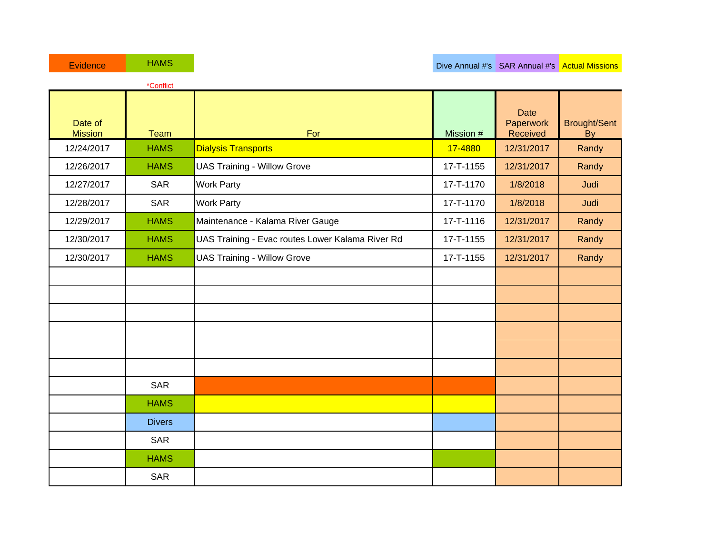|                           | *Conflict     |                                                  |           |                                      |                                  |
|---------------------------|---------------|--------------------------------------------------|-----------|--------------------------------------|----------------------------------|
| Date of<br><b>Mission</b> | <b>Team</b>   | For                                              | Mission # | <b>Date</b><br>Paperwork<br>Received | <b>Brought/Sent</b><br><b>By</b> |
| 12/24/2017                | <b>HAMS</b>   | <b>Dialysis Transports</b>                       | 17-4880   | 12/31/2017                           | Randy                            |
| 12/26/2017                | <b>HAMS</b>   | <b>UAS Training - Willow Grove</b>               | 17-T-1155 | 12/31/2017                           | Randy                            |
| 12/27/2017                | <b>SAR</b>    | <b>Work Party</b>                                | 17-T-1170 | 1/8/2018                             | Judi                             |
| 12/28/2017                | <b>SAR</b>    | <b>Work Party</b>                                | 17-T-1170 | 1/8/2018                             | Judi                             |
| 12/29/2017                | <b>HAMS</b>   | Maintenance - Kalama River Gauge                 | 17-T-1116 | 12/31/2017                           | Randy                            |
| 12/30/2017                | <b>HAMS</b>   | UAS Training - Evac routes Lower Kalama River Rd | 17-T-1155 | 12/31/2017                           | Randy                            |
| 12/30/2017                | <b>HAMS</b>   | <b>UAS Training - Willow Grove</b>               | 17-T-1155 | 12/31/2017                           | Randy                            |
|                           |               |                                                  |           |                                      |                                  |
|                           |               |                                                  |           |                                      |                                  |
|                           |               |                                                  |           |                                      |                                  |
|                           |               |                                                  |           |                                      |                                  |
|                           |               |                                                  |           |                                      |                                  |
|                           |               |                                                  |           |                                      |                                  |
|                           | <b>SAR</b>    |                                                  |           |                                      |                                  |
|                           | <b>HAMS</b>   |                                                  |           |                                      |                                  |
|                           | <b>Divers</b> |                                                  |           |                                      |                                  |
|                           | <b>SAR</b>    |                                                  |           |                                      |                                  |
|                           | <b>HAMS</b>   |                                                  |           |                                      |                                  |
|                           | <b>SAR</b>    |                                                  |           |                                      |                                  |